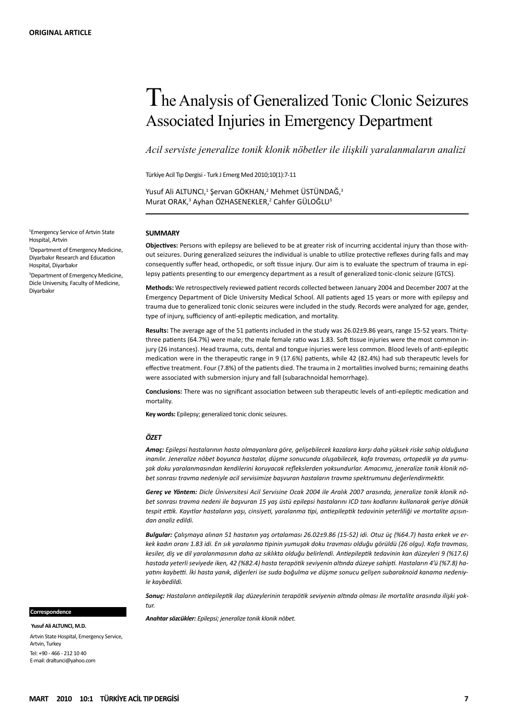# The Analysis of Generalized Tonic Clonic Seizures Associated Injuries in Emergency Department

*Acil serviste jeneralize tonik klonik nöbetler ile ilişkili yaralanmaların analizi*

Türkiye Acil Tıp Dergisi - Turk J Emerg Med 2010;10(1):7-11

Yusuf Ali ALTUNCI,<sup>1</sup> Şervan GÖKHAN,<sup>2</sup> Mehmet ÜSTÜNDAĞ,<sup>3</sup> Murat ORAK,<sup>3</sup> Ayhan ÖZHASENEKLER,<sup>2</sup> Cahfer GÜLOĞLU<sup>3</sup>

#### **SUMMARY**

**Objectives:** Persons with epilepsy are believed to be at greater risk of incurring accidental injury than those without seizures. During generalized seizures the individual is unable to utilize protective reflexes during falls and may consequently suffer head, orthopedic, or soft tissue injury. Our aim is to evaluate the spectrum of trauma in epilepsy patients presenting to our emergency department as a result of generalized tonic-clonic seizure (GTCS).

**Methods:** We retrospectively reviewed patient records collected between January 2004 and December 2007 at the Emergency Department of Dicle University Medical School. All patients aged 15 years or more with epilepsy and trauma due to generalized tonic clonic seizures were included in the study. Records were analyzed for age, gender, type of injury, sufficiency of anti-epileptic medication, and mortality.

**Results:** The average age of the 51 patients included in the study was 26.02±9.86 years, range 15-52 years. Thirtythree patients (64.7%) were male; the male female ratio was 1.83. Soft tissue injuries were the most common injury (26 instances). Head trauma, cuts, dental and tongue injuries were less common. Blood levels of anti-epileptic medication were in the therapeutic range in 9 (17.6%) patients, while 42 (82.4%) had sub therapeutic levels for effective treatment. Four (7.8%) of the patients died. The trauma in 2 mortalities involved burns; remaining deaths were associated with submersion injury and fall (subarachnoidal hemorrhage).

**Conclusions:** There was no significant association between sub therapeutic levels of anti-epileptic medication and mortality.

**Key words:** Epilepsy; generalized tonic clonic seizures.

#### *ÖZET*

*Amaç: Epilepsi hastalarının hasta olmayanlara göre, gelişebilecek kazalara karşı daha yüksek riske sahip olduğuna inanılır. Jeneralize nöbet boyunca hastalar, düşme sonucunda oluşabilecek, kafa travması, ortopedik ya da yumuşak doku yaralanmasından kendilerini koruyacak reflekslerden yoksundurlar. Amacımız, jeneralize tonik klonik nöbet sonrası travma nedeniyle acil servisimize başvuran hastaların travma spektrumunu değerlendirmektir.*

*Gereç ve Yöntem: Dicle Üniversitesi Acil Servisine Ocak 2004 ile Aralık 2007 arasında, jeneralize tonik klonik nöbet sonrası travma nedeni ile başvuran 15 yaş üstü epilepsi hastalarını ICD tanı kodlarını kullanarak geriye dönük tespit ettik. Kayıtlar hastaların yaşı, cinsiyeti, yaralanma tipi, antiepileptik tedavinin yeterliliği ve mortalite açısından analiz edildi.*

*Bulgular: Çalışmaya alınan 51 hastanın yaş ortalaması 26.02±9.86 (15-52) idi. Otuz üç (%64.7) hasta erkek ve erkek kadın oranı 1.83 idi. En sık yaralanma tipinin yumuşak doku travması olduğu görüldü (26 olgu). Kafa travması, kesiler, diş ve dil yaralanmasının daha az sıklıkta olduğu belirlendi. Antiepileptik tedavinin kan düzeyleri 9 (%17.6) hastada yeterli seviyede iken, 42 (%82.4) hasta terapötik seviyenin altında düzeye sahipti. Hastaların 4'ü (%7.8) hayatını kaybetti. İki hasta yanık, diğerleri ise suda boğulma ve düşme sonucu gelişen subaraknoid kanama nedeniyle kaybedildi.*

*Sonuç: Hastaların antiepileptik ilaç düzeylerinin terapötik seviyenin altında olması ile mortalite arasında ilişki yoktur.*

*Anahtar sözcükler: Epilepsi; jeneralize tonik klonik nöbet.* 

 **Yusuf Ali ALTUNCI, M.D.** Artvin State Hospital, Emergency Service, Artvin, Turkey Tel: +90 - 466 - 212 10 40 E-mail: draltunci@yahoo.com

 **Correspondence**

1 Emergency Service of Artvin State Hospital, Artvin

2 Department of Emergency Medicine, Diyarbakır Research and Education Hospital, Diyarbakır

3 Department of Emergency Medicine, Dicle University, Faculty of Medicine, Diyarbakır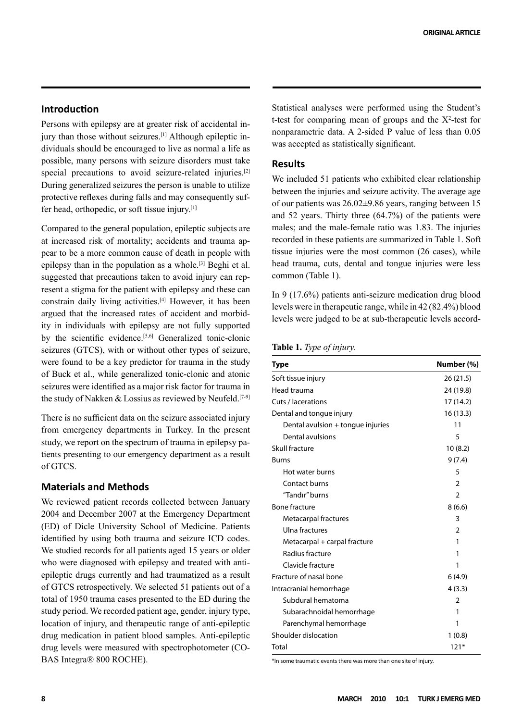# **Introduction**

Persons with epilepsy are at greater risk of accidental injury than those without seizures.[1] Although epileptic individuals should be encouraged to live as normal a life as possible, many persons with seizure disorders must take special precautions to avoid seizure-related injuries.<sup>[2]</sup> During generalized seizures the person is unable to utilize protective reflexes during falls and may consequently suffer head, orthopedic, or soft tissue injury.[1]

Compared to the general population, epileptic subjects are at increased risk of mortality; accidents and trauma appear to be a more common cause of death in people with epilepsy than in the population as a whole.[3] Beghi et al. suggested that precautions taken to avoid injury can represent a stigma for the patient with epilepsy and these can constrain daily living activities.[4] However, it has been argued that the increased rates of accident and morbidity in individuals with epilepsy are not fully supported by the scientific evidence.<sup>[5,6]</sup> Generalized tonic-clonic seizures (GTCS), with or without other types of seizure, were found to be a key predictor for trauma in the study of Buck et al., while generalized tonic-clonic and atonic seizures were identified as a major risk factor for trauma in the study of Nakken & Lossius as reviewed by Neufeld.<sup>[7-9]</sup>

There is no sufficient data on the seizure associated injury from emergency departments in Turkey. In the present study, we report on the spectrum of trauma in epilepsy patients presenting to our emergency department as a result of GTCS.

# **Materials and Methods**

We reviewed patient records collected between January 2004 and December 2007 at the Emergency Department (ED) of Dicle University School of Medicine. Patients identified by using both trauma and seizure ICD codes. We studied records for all patients aged 15 years or older who were diagnosed with epilepsy and treated with antiepileptic drugs currently and had traumatized as a result of GTCS retrospectively. We selected 51 patients out of a total of 1950 trauma cases presented to the ED during the study period. We recorded patient age, gender, injury type, location of injury, and therapeutic range of anti-epileptic drug medication in patient blood samples. Anti-epileptic drug levels were measured with spectrophotometer (CO-BAS Integra® 800 ROCHE).

Statistical analyses were performed using the Student's t-test for comparing mean of groups and the  $X^2$ -test for nonparametric data. A 2-sided P value of less than 0.05 was accepted as statistically significant.

# **Results**

We included 51 patients who exhibited clear relationship between the injuries and seizure activity. The average age of our patients was 26.02±9.86 years, ranging between 15 and 52 years. Thirty three (64.7%) of the patients were males; and the male-female ratio was 1.83. The injuries recorded in these patients are summarized in Table 1. Soft tissue injuries were the most common (26 cases), while head trauma, cuts, dental and tongue injuries were less common (Table 1).

In 9 (17.6%) patients anti-seizure medication drug blood levels were in therapeutic range, while in 42 (82.4%) blood levels were judged to be at sub-therapeutic levels accord-

|  |  |  |  | Table 1. Type of injury. |  |
|--|--|--|--|--------------------------|--|
|--|--|--|--|--------------------------|--|

| Type                              | Number (%)     |
|-----------------------------------|----------------|
| Soft tissue injury                | 26(21.5)       |
| Head trauma                       | 24 (19.8)      |
| Cuts / lacerations                | 17(14.2)       |
| Dental and tongue injury          | 16 (13.3)      |
| Dental avulsion + tongue injuries | 11             |
| Dental avulsions                  | 5              |
| Skull fracture                    | 10(8.2)        |
| <b>Burns</b>                      | 9(7.4)         |
| Hot water burns                   | 5              |
| Contact burns                     | $\mathfrak z$  |
| "Tandır" burns                    | $\overline{2}$ |
| <b>Bone fracture</b>              | 8(6.6)         |
| Metacarpal fractures              | 3              |
| Ulna fractures                    | 2              |
| Metacarpal + carpal fracture      | 1              |
| Radius fracture                   | 1              |
| Clavicle fracture                 | 1              |
| Fracture of nasal bone            | 6(4.9)         |
| Intracranial hemorrhage           | 4(3.3)         |
| Subdural hematoma                 | 2              |
| Subarachnoidal hemorrhage         | 1              |
| Parenchymal hemorrhage            | 1              |
| Shoulder dislocation              | 1(0.8)         |
| Total                             | 121*           |

\*In some traumatic events there was more than one site of injury.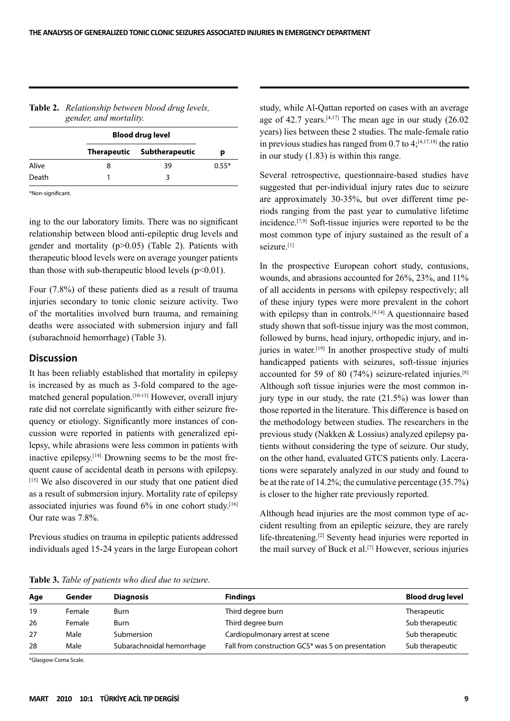|       | <b>Blood drug level</b> |                            |         |
|-------|-------------------------|----------------------------|---------|
|       |                         | Therapeutic Subtherapeutic | р       |
| Alive | 8                       | 39                         | $0.55*$ |
| Death |                         |                            |         |

#### **Table 2.** *Relationship between blood drug levels, gender, and mortality.*

\*Non-significant.

ing to the our laboratory limits. There was no significant relationship between blood anti-epileptic drug levels and gender and mortality (p>0.05) (Table 2). Patients with therapeutic blood levels were on average younger patients than those with sub-therapeutic blood levels  $(p<0.01)$ .

Four (7.8%) of these patients died as a result of trauma injuries secondary to tonic clonic seizure activity. Two of the mortalities involved burn trauma, and remaining deaths were associated with submersion injury and fall (subarachnoid hemorrhage) (Table 3).

#### **Discussion**

It has been reliably established that mortality in epilepsy is increased by as much as 3-fold compared to the agematched general population.<sup>[10-13]</sup> However, overall injury rate did not correlate significantly with either seizure frequency or etiology. Significantly more instances of concussion were reported in patients with generalized epilepsy, while abrasions were less common in patients with inactive epilepsy.[14] Drowning seems to be the most frequent cause of accidental death in persons with epilepsy. [15] We also discovered in our study that one patient died as a result of submersion injury. Mortality rate of epilepsy associated injuries was found 6% in one cohort study.<sup>[16]</sup> Our rate was 7.8%.

Previous studies on trauma in epileptic patients addressed individuals aged 15-24 years in the large European cohort

study, while Al-Qattan reported on cases with an average age of 42.7 years.<sup>[4,17]</sup> The mean age in our study  $(26.02)$ years) lies between these 2 studies. The male-female ratio in previous studies has ranged from  $0.7$  to  $4$ ;<sup>[4,17,18]</sup> the ratio in our study (1.83) is within this range.

Several retrospective, questionnaire-based studies have suggested that per-individual injury rates due to seizure are approximately 30-35%, but over different time periods ranging from the past year to cumulative lifetime incidence.[7,9] Soft-tissue injuries were reported to be the most common type of injury sustained as the result of a seizure.[1]

In the prospective European cohort study, contusions, wounds, and abrasions accounted for 26%, 23%, and 11% of all accidents in persons with epilepsy respectively; all of these injury types were more prevalent in the cohort with epilepsy than in controls.<sup>[4,14]</sup> A questionnaire based study shown that soft-tissue injury was the most common, followed by burns, head injury, orthopedic injury, and injuries in water.<sup>[19]</sup> In another prospective study of multi handicapped patients with seizures, soft-tissue injuries accounted for 59 of 80 (74%) seizure-related injuries.[8] Although soft tissue injuries were the most common injury type in our study, the rate (21.5%) was lower than those reported in the literature. This difference is based on the methodology between studies. The researchers in the previous study (Nakken & Lossius) analyzed epilepsy patients without considering the type of seizure. Our study, on the other hand, evaluated GTCS patients only. Lacerations were separately analyzed in our study and found to be at the rate of 14.2%; the cumulative percentage (35.7%) is closer to the higher rate previously reported.

Although head injuries are the most common type of accident resulting from an epileptic seizure, they are rarely life-threatening.[2] Seventy head injuries were reported in the mail survey of Buck et al.[7] However, serious injuries

|  |  | Table 3. Table of patients who died due to seizure. |  |  |  |  |  |
|--|--|-----------------------------------------------------|--|--|--|--|--|
|--|--|-----------------------------------------------------|--|--|--|--|--|

| Age | Gender | <b>Diagnosis</b>          | <b>Findings</b>                                   | <b>Blood drug level</b> |  |  |  |  |  |
|-----|--------|---------------------------|---------------------------------------------------|-------------------------|--|--|--|--|--|
| 19  | Female | Burn                      | Third degree burn                                 | Therapeutic             |  |  |  |  |  |
| 26  | Female | Burn                      | Third degree burn                                 | Sub therapeutic         |  |  |  |  |  |
| 27  | Male   | Submersion                | Cardiopulmonary arrest at scene                   | Sub therapeutic         |  |  |  |  |  |
| 28  | Male   | Subarachnoidal hemorrhage | Fall from construction GCS* was 5 on presentation | Sub therapeutic         |  |  |  |  |  |

\*Glasgow Coma Scale.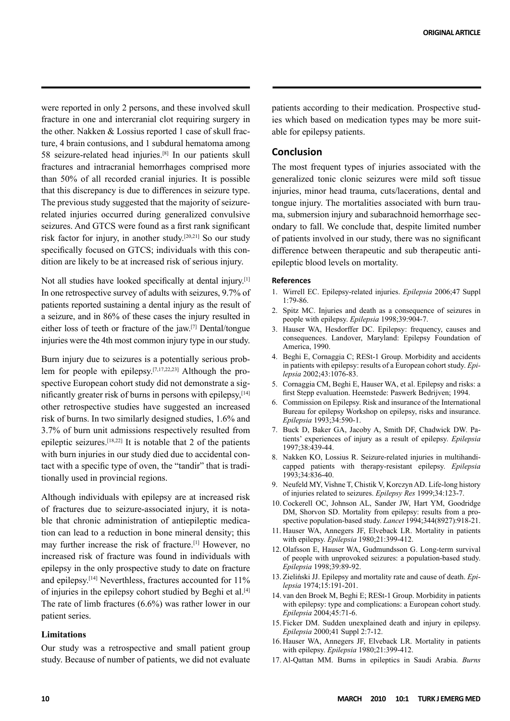were reported in only 2 persons, and these involved skull fracture in one and intercranial clot requiring surgery in the other. Nakken & Lossius reported 1 case of skull fracture, 4 brain contusions, and 1 subdural hematoma among 58 seizure-related head injuries.[8] In our patients skull fractures and intracranial hemorrhages comprised more than 50% of all recorded cranial injuries. It is possible that this discrepancy is due to differences in seizure type. The previous study suggested that the majority of seizurerelated injuries occurred during generalized convulsive seizures. And GTCS were found as a first rank significant risk factor for injury, in another study.[20,21] So our study specifically focused on GTCS; individuals with this condition are likely to be at increased risk of serious injury.

Not all studies have looked specifically at dental injury.<sup>[1]</sup> In one retrospective survey of adults with seizures, 9.7% of patients reported sustaining a dental injury as the result of a seizure, and in 86% of these cases the injury resulted in either loss of teeth or fracture of the jaw.[7] Dental/tongue injuries were the 4th most common injury type in our study.

Burn injury due to seizures is a potentially serious problem for people with epilepsy.[7,17,22,23] Although the prospective European cohort study did not demonstrate a significantly greater risk of burns in persons with epilepsy, $[14]$ other retrospective studies have suggested an increased risk of burns. In two similarly designed studies, 1.6% and 3.7% of burn unit admissions respectively resulted from epileptic seizures.[18,22] It is notable that 2 of the patients with burn injuries in our study died due to accidental contact with a specific type of oven, the "tandir" that is traditionally used in provincial regions.

Although individuals with epilepsy are at increased risk of fractures due to seizure-associated injury, it is notable that chronic administration of antiepileptic medication can lead to a reduction in bone mineral density; this may further increase the risk of fracture.[1] However, no increased risk of fracture was found in individuals with epilepsy in the only prospective study to date on fracture and epilepsy.[14] Neverthless, fractures accounted for 11% of injuries in the epilepsy cohort studied by Beghi et al.[4] The rate of limb fractures (6.6%) was rather lower in our patient series.

## **Limitations**

Our study was a retrospective and small patient group study. Because of number of patients, we did not evaluate patients according to their medication. Prospective studies which based on medication types may be more suitable for epilepsy patients.

# **Conclusion**

The most frequent types of injuries associated with the generalized tonic clonic seizures were mild soft tissue injuries, minor head trauma, cuts/lacerations, dental and tongue injury. The mortalities associated with burn trauma, submersion injury and subarachnoid hemorrhage secondary to fall. We conclude that, despite limited number of patients involved in our study, there was no significant difference between therapeutic and sub therapeutic antiepileptic blood levels on mortality.

## **References**

- 1. Wirrell EC. Epilepsy-related injuries. *Epilepsia* 2006;47 Suppl 1:79-86.
- 2. Spitz MC. Injuries and death as a consequence of seizures in people with epilepsy. *Epilepsia* 1998;39:904-7.
- 3. Hauser WA, Hesdorffer DC. Epilepsy: frequency, causes and consequences. Landover, Maryland: Epilepsy Foundation of America, 1990.
- 4. Beghi E, Cornaggia C; RESt-1 Group. Morbidity and accidents in patients with epilepsy: results of a European cohort study. *Epilepsia* 2002;43:1076-83.
- 5. Cornaggia CM, Beghi E, Hauser WA, et al. Epilepsy and risks: a first Stepp evaluation. Heemstede: Paswerk Bedrijven; 1994.
- 6. Commission on Epilepsy. Risk and insurance of the International Bureau for epilepsy Workshop on epilepsy, risks and insurance. *Epilepsia* 1993;34:590-1.
- 7. Buck D, Baker GA, Jacoby A, Smith DF, Chadwick DW. Patients' experiences of injury as a result of epilepsy. *Epilepsia*  1997;38:439-44.
- 8. Nakken KO, Lossius R. Seizure-related injuries in multihandicapped patients with therapy-resistant epilepsy. *Epilepsia*  1993;34:836-40.
- 9. Neufeld MY, Vishne T, Chistik V, Korczyn AD. Life-long history of injuries related to seizures. *Epilepsy Res* 1999;34:123-7.
- 10. Cockerell OC, Johnson AL, Sander JW, Hart YM, Goodridge DM, Shorvon SD. Mortality from epilepsy: results from a prospective population-based study. *Lancet* 1994;344(8927):918-21.
- 11. Hauser WA, Annegers JF, Elveback LR. Mortality in patients with epilepsy. *Epilepsia* 1980;21:399-412.
- 12. Olafsson E, Hauser WA, Gudmundsson G. Long-term survival of people with unprovoked seizures: a population-based study. *Epilepsia* 1998;39:89-92.
- 13. Zieliński JJ. Epilepsy and mortality rate and cause of death. *Epilepsia* 1974;15:191-201.
- 14. van den Broek M, Beghi E; RESt-1 Group. Morbidity in patients with epilepsy: type and complications: a European cohort study. *Epilepsia* 2004;45:71-6.
- 15. Ficker DM. Sudden unexplained death and injury in epilepsy. *Epilepsia* 2000;41 Suppl 2:7-12.
- 16. Hauser WA, Annegers JF, Elveback LR. Mortality in patients with epilepsy. *Epilepsia* 1980;21:399-412.
- 17. Al-Qattan MM. Burns in epileptics in Saudi Arabia. *Burns*